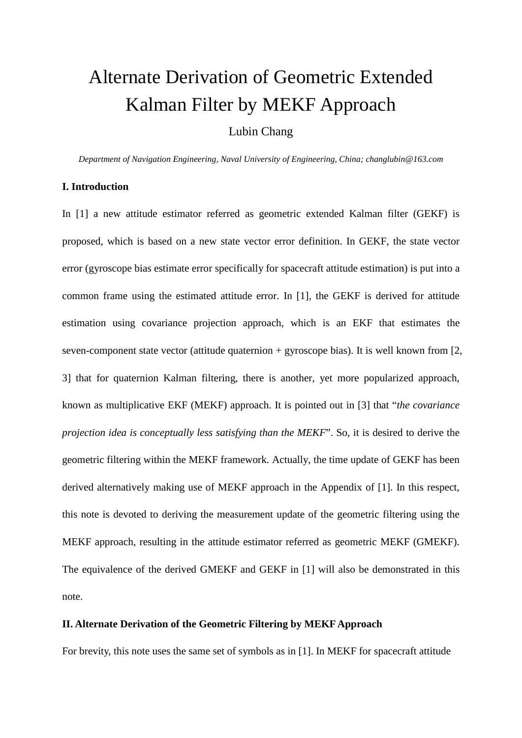# Alternate Derivation of Geometric Extended Kalman Filter by MEKF Approach

Lubin Chang

*Department of Navigation Engineering, Naval University of Engineering, China; [changlubin@163.com](mailto:changlubin@163.com)*

#### **I. Introduction**

In [1] a new attitude estimator referred as geometric extended Kalman filter (GEKF) is proposed, which is based on a new state vector error definition. In GEKF, the state vector error (gyroscope bias estimate error specifically for spacecraft attitude estimation) is put into a common frame using the estimated attitude error. In [1], the GEKF is derived for attitude estimation using covariance projection approach, which is an EKF that estimates the seven-component state vector (attitude quaternion  $+$  gyroscope bias). It is well known from [2, 3] that for quaternion Kalman filtering, there is another, yet more popularized approach, known as multiplicative EKF (MEKF) approach. It is pointed out in [3] that "*the covariance projection idea is conceptually less satisfying than the MEKF"*. So, it is desired to derive the geometric filtering within the MEKF framework. Actually, the time update of GEKF has been derived alternatively making use of MEKF approach in the Appendix of [1]. In this respect, this note is devoted to deriving the measurement update of the geometric filtering using the MEKF approach, resulting in the attitude estimator referred as geometric MEKF (GMEKF). The equivalence of the derived GMEKF and GEKF in [1] will also be demonstrated in this note.

#### **II. Alternate Derivation of the Geometric Filtering by MEKF Approach**

For brevity, this note uses the same set of symbols as in [1]. In MEKF for spacecraft attitude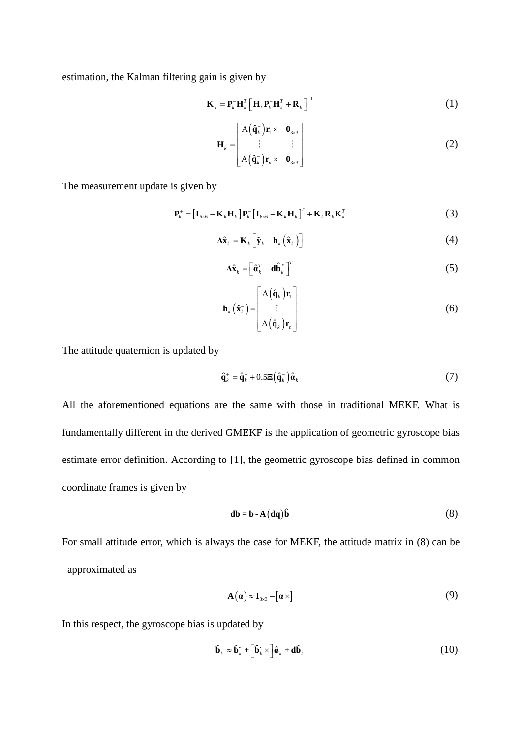estimation, the Kalman filtering gain is given by

$$
\mathbf{K}_{k} = \mathbf{P}_{k}^{-} \mathbf{H}_{k}^{T} \left[ \mathbf{H}_{k} \mathbf{P}_{k}^{-} \mathbf{H}_{k}^{T} + \mathbf{R}_{k} \right]^{-1}
$$
 (1)

$$
\mathbf{H}_{k} = \begin{bmatrix} A(\hat{\mathbf{q}}_{k}^{-})\mathbf{r}_{1} \times & \mathbf{0}_{3\times3} \\ \vdots & \vdots \\ A(\hat{\mathbf{q}}_{k}^{-})\mathbf{r}_{n} \times & \mathbf{0}_{3\times3} \end{bmatrix}
$$
(2)

The measurement update is given by

$$
\mathbf{P}_{k}^{+} = \left[\mathbf{I}_{6\times6} - \mathbf{K}_{k} \mathbf{H}_{k}\right] \mathbf{P}_{k}^{-} \left[\mathbf{I}_{6\times6} - \mathbf{K}_{k} \mathbf{H}_{k}\right]^{T} + \mathbf{K}_{k} \mathbf{R}_{k} \mathbf{K}_{k}^{T}
$$
(3)

$$
\Delta \hat{\mathbf{x}}_k = \mathbf{K}_k \left[ \tilde{\mathbf{y}}_k - \mathbf{h}_k \left( \hat{\mathbf{x}}_k^- \right) \right]
$$
 (4)

$$
\Delta \hat{\mathbf{x}}_k = \begin{bmatrix} \hat{\mathbf{a}}_k^T & \mathbf{d} \hat{\mathbf{b}}_k^T \end{bmatrix}^T
$$
 (5)

$$
\mathbf{h}_{k}(\hat{\mathbf{x}}_{k}^{-}) = \begin{bmatrix} A(\hat{\mathbf{q}}_{k}^{-})\mathbf{r}_{1} \\ \vdots \\ A(\hat{\mathbf{q}}_{k}^{-})\mathbf{r}_{n} \end{bmatrix}
$$
(6)

The attitude quaternion is updated by

$$
\hat{\mathbf{q}}_k^+ = \hat{\mathbf{q}}_k^- + 0.5\mathbf{E}\left(\hat{\mathbf{q}}_k^-\right)\hat{\boldsymbol{a}}_k \tag{7}
$$

All the aforementioned equations are the same with those in traditional MEKF. What is fundamentally different in the derived GMEKF is the application of geometric gyroscope bias estimate error definition. According to [1], the geometric gyroscope bias defined in common coordinate frames is given by

$$
db = b - A(dq)\hat{b}
$$
 (8)

For small attitude error, which is always the case for MEKF, the attitude matrix in (8) can be approximated as

$$
\mathbf{A}(\mathbf{a}) \approx \mathbf{I}_{3 \times 3} - [\mathbf{a} \times ] \tag{9}
$$

In this respect, the gyroscope bias is updated by

$$
\hat{\mathbf{b}}_k^+ \approx \hat{\mathbf{b}}_k^- + \left[\hat{\mathbf{b}}_k^- \times \right] \hat{\boldsymbol{a}}_k + \mathbf{d}\hat{\mathbf{b}}_k \tag{10}
$$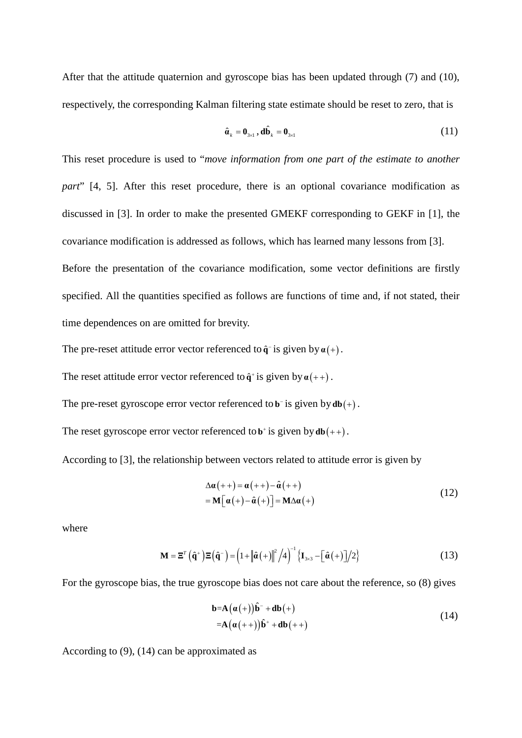After that the attitude quaternion and gyroscope bias has been updated through (7) and (10), respectively, the corresponding Kalman filtering state estimate should be reset to zero, that is

$$
\hat{\boldsymbol{a}}_k = \boldsymbol{0}_{3\times 1}, \, \mathbf{d}\hat{\mathbf{b}}_k = \boldsymbol{0}_{3\times 1} \tag{11}
$$

This reset procedure is used to "*move information from one part of the estimate to another part*" [4, 5]. After this reset procedure, there is an optional covariance modification as discussed in [3]. In order to make the presented GMEKF corresponding to GEKF in [1], the covariance modification is addressed as follows, which has learned many lessons from [3].

Before the presentation of the covariance modification, some vector definitions are firstly specified. All the quantities specified as follows are functions of time and, if not stated, their time dependences on are omitted for brevity.

The pre-reset attitude error vector referenced to  $\hat{\mathbf{q}}$  is given by  $\alpha(+)$ .

The reset attitude error vector referenced to  $\hat{\mathbf{q}}^{\dagger}$  is given by  $\alpha$ (++).

The pre-reset gyroscope error vector referenced to  $\mathbf{b}^-$  is given by  $d\mathbf{b}(+)$ .

The reset gyroscope error vector referenced to  $\mathbf{b}^+$  is given by  $d\mathbf{b}(++)$ .

According to [3], the relationship between vectors related to attitude error is given by

$$
\Delta \alpha (++) = \alpha (++) - \hat{\alpha} (++)
$$
  
=  $\mathbf{M} [\alpha (+) - \hat{\alpha} (+)] = \mathbf{M} \Delta \alpha (+)$  (12)

where

$$
\mathbf{M} = \mathbf{\Xi}^T \left( \hat{\mathbf{q}}^+ \right) \mathbf{\Xi} \left( \hat{\mathbf{q}}^- \right) = \left( 1 + \left\| \hat{\boldsymbol{\alpha}} \left( + \right) \right\|^2 / 4 \right)^{-1} \left\{ \mathbf{I}_{3 \times 3} - \left[ \hat{\boldsymbol{\alpha}} \left( + \right) \right] / 2 \right\}
$$
 (13)

For the gyroscope bias, the true gyroscope bias does not care about the reference, so (8) gives

$$
\mathbf{b} = \mathbf{A} (\mathbf{a}(+) ) \mathbf{\hat{b}}^- + \mathbf{d}\mathbf{b}(+) \n= \mathbf{A} (\mathbf{a}(++) ) \mathbf{\hat{b}}^+ + \mathbf{d}\mathbf{b}(++)
$$
\n(14)

According to (9), (14) can be approximated as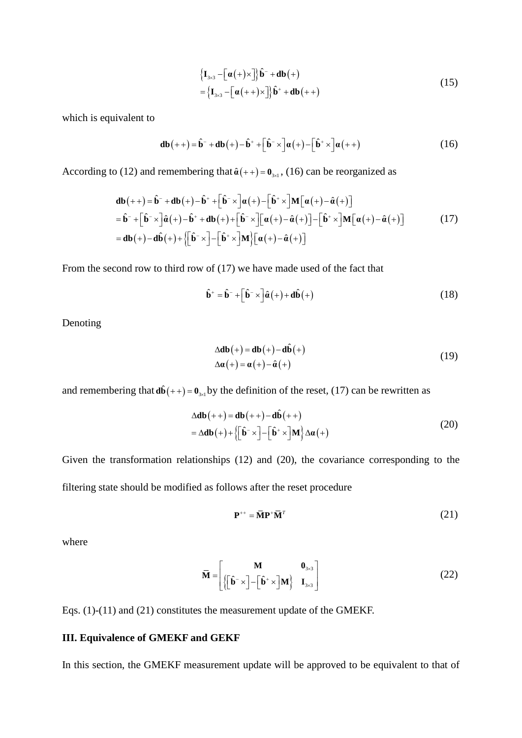$$
\begin{aligned} \left\{ \mathbf{I}_{3\times 3} - \left[ \boldsymbol{\alpha}(+) \times \right] \right\} \hat{\mathbf{b}}^{-} + \mathbf{db}(+) \\ = \left\{ \mathbf{I}_{3\times 3} - \left[ \boldsymbol{\alpha}(++) \times \right] \right\} \hat{\mathbf{b}}^{+} + \mathbf{db}(++) \end{aligned} \tag{15}
$$

which is equivalent to

$$
\mathbf{db}(++) = \hat{\mathbf{b}}^- + \mathbf{db}(+) - \hat{\mathbf{b}}^+ + \left[\hat{\mathbf{b}}^- \times \right] \alpha(+) - \left[\hat{\mathbf{b}}^+ \times \right] \alpha(+)
$$
 (16)

According to (12) and remembering that  $\hat{a}( + ) = 0_{\text{3} \times 1}$ , (16) can be reorganized as

$$
\mathbf{d}\mathbf{b}(++) = \hat{\mathbf{b}}^- + \mathbf{d}\mathbf{b}(+) - \hat{\mathbf{b}}^+ + \left[\hat{\mathbf{b}}^- \times \right] \alpha(+) - \left[\hat{\mathbf{b}}^+ \times \right] \mathbf{M} \left[\alpha(+) - \hat{\alpha}(+) \right]
$$
\n
$$
= \hat{\mathbf{b}}^- + \left[\hat{\mathbf{b}}^- \times \right] \hat{\alpha}(+) - \hat{\mathbf{b}}^+ + \mathbf{d}\mathbf{b}(+) + \left[\hat{\mathbf{b}}^- \times \right] \left[\alpha(+) - \hat{\alpha}(+) \right] - \left[\hat{\mathbf{b}}^+ \times \right] \mathbf{M} \left[\alpha(+) - \hat{\alpha}(+) \right]
$$
\n
$$
= \mathbf{d}\mathbf{b}(+) - \mathbf{d}\hat{\mathbf{b}}(+) + \left\{ \left[\hat{\mathbf{b}}^- \times \right] - \left[\hat{\mathbf{b}}^+ \times \right] \mathbf{M} \right\} \left[\alpha(+) - \hat{\alpha}(+) \right]
$$
\n(17)

From the second row to third row of (17) we have made used of the fact that

$$
\hat{\mathbf{b}}^+ = \hat{\mathbf{b}}^- + \left[\hat{\mathbf{b}}^- \times \right] \hat{\mathbf{a}} \left( + \right) + \mathbf{d}\hat{\mathbf{b}} \left( + \right) \tag{18}
$$

Denoting

$$
\Delta \mathbf{db}(+) = \mathbf{db}(+) - \mathbf{d}\hat{\mathbf{b}}(+)
$$
  
 
$$
\Delta \mathbf{a}(+) = \mathbf{a}(+) - \hat{\mathbf{a}}(+)
$$
 (19)

and remembering that  $d\hat{b}( + ) = 0_{3\times l}$  by the definition of the reset, (17) can be rewritten as

$$
\Delta \mathbf{db}(++) = \mathbf{db}(++) - \mathbf{d}\hat{\mathbf{b}}(++)
$$
  
=  $\Delta \mathbf{db}(+) + \left\{ \left[ \hat{\mathbf{b}}^{-} \times \right] - \left[ \hat{\mathbf{b}}^{+} \times \right] \mathbf{M} \right\} \Delta \alpha(+)$  (20)

Given the transformation relationships (12) and (20), the covariance corresponding to the filtering state should be modified as follows after the reset procedure

$$
\mathbf{P}^{++} = \overline{\mathbf{M}} \mathbf{P}^+ \overline{\mathbf{M}}^T \tag{21}
$$

where

$$
\overline{\mathbf{M}} = \begin{bmatrix} \mathbf{M} & \mathbf{0}_{3 \times 3} \\ \left\{ \begin{bmatrix} \hat{\mathbf{b}}^{-} \times \end{bmatrix} - \begin{bmatrix} \hat{\mathbf{b}}^{+} \times \end{bmatrix} \mathbf{M} \right\} & \mathbf{I}_{3 \times 3} \end{bmatrix}
$$
(22)

Eqs. (1)-(11) and (21) constitutes the measurement update of the GMEKF.

### **III. Equivalence of GMEKF and GEKF**

In this section, the GMEKF measurement update will be approved to be equivalent to that of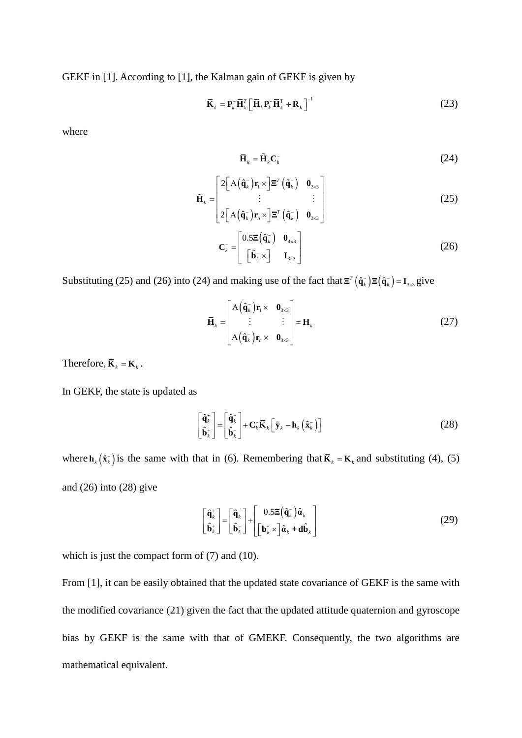GEKF in [1]. According to [1], the Kalman gain of GEKF is given by

$$
\overline{\mathbf{K}}_k = \mathbf{P}_k^- \overline{\mathbf{H}}_k^T \left[ \overline{\mathbf{H}}_k \mathbf{P}_k^- \overline{\mathbf{H}}_k^T + \mathbf{R}_k \right]^{-1} \tag{23}
$$

where

$$
\overline{\mathbf{H}}_k = \tilde{\mathbf{H}}_k \mathbf{C}_k \tag{24}
$$

$$
\tilde{\mathbf{H}}_{k} = \begin{bmatrix} 2\left[A\left(\hat{\mathbf{q}}_{k}^{-}\right)\mathbf{r}_{1} \times \mathbf{r}_{k}^{-1}\mathbf{r}_{k}^{-1}\right) & \mathbf{0}_{3\times 3} \\ \vdots & \vdots \\ 2\left[A\left(\hat{\mathbf{q}}_{k}^{-}\right)\mathbf{r}_{n} \times \mathbf{r}_{k}^{-1}\mathbf{r}_{k}^{-1}\right) & \mathbf{0}_{3\times 3} \end{bmatrix}
$$
\n(25)

$$
\mathbf{C}_{k}^{-} = \begin{bmatrix} 0.5\mathbf{E}(\hat{\mathbf{q}}_{k}^{-}) & \mathbf{0}_{4\times3} \\ \begin{bmatrix} \hat{\mathbf{b}}_{k}^{-} \times \end{bmatrix} & \mathbf{I}_{3\times3} \end{bmatrix}
$$
(26)

Substituting (25) and (26) into (24) and making use of the fact that  $\mathbf{\Xi}^T(\hat{\mathbf{q}}_k^-)\mathbf{\Xi}(\hat{\mathbf{q}}_k^-)=\mathbf{I}_{3\times 3}$  give

$$
\overline{\mathbf{H}}_{k} = \begin{bmatrix} \mathbf{A}(\hat{\mathbf{q}}_{k}^{-})\mathbf{r}_{1} \times & \mathbf{0}_{3\times3} \\ \vdots & \vdots \\ \mathbf{A}(\hat{\mathbf{q}}_{k}^{-})\mathbf{r}_{n} \times & \mathbf{0}_{3\times3} \end{bmatrix} = \mathbf{H}_{k}
$$
(27)

Therefore,  $\overline{\mathbf{K}}_k = \mathbf{K}_k$ .

In GEKF, the state is updated as

$$
\begin{bmatrix} \hat{\mathbf{q}}_k^+ \\ \hat{\mathbf{b}}_k^+ \end{bmatrix} = \begin{bmatrix} \hat{\mathbf{q}}_k^- \\ \hat{\mathbf{b}}_k^- \end{bmatrix} + \mathbf{C}_k^- \overline{\mathbf{K}}_k \left[ \tilde{\mathbf{y}}_k - \mathbf{h}_k \left( \hat{\mathbf{x}}_k^- \right) \right]
$$
(28)

where  $\mathbf{h}_k(\hat{\mathbf{x}}_k^-)$  is the same with that in (6). Remembering that  $\overline{\mathbf{K}}_k = \mathbf{K}_k$  and substituting (4), (5) and  $(26)$  into  $(28)$  give

$$
\begin{bmatrix} \hat{\mathbf{q}}_k^+ \\ \hat{\mathbf{b}}_k^+ \end{bmatrix} = \begin{bmatrix} \hat{\mathbf{q}}_k^- \\ \hat{\mathbf{b}}_k^- \end{bmatrix} + \begin{bmatrix} 0.5\Xi(\hat{\mathbf{q}}_k^-)\hat{\mathbf{a}}_k \\ \begin{bmatrix} \mathbf{b}_k \times \end{bmatrix} \hat{\mathbf{a}}_k + \mathbf{d}\hat{\mathbf{b}}_k \end{bmatrix}
$$
(29)

which is just the compact form of  $(7)$  and  $(10)$ .

From [1], it can be easily obtained that the updated state covariance of GEKF is the same with the modified covariance (21) given the fact that the updated attitude quaternion and gyroscope bias by GEKF is the same with that of GMEKF. Consequently, the two algorithms are mathematical equivalent.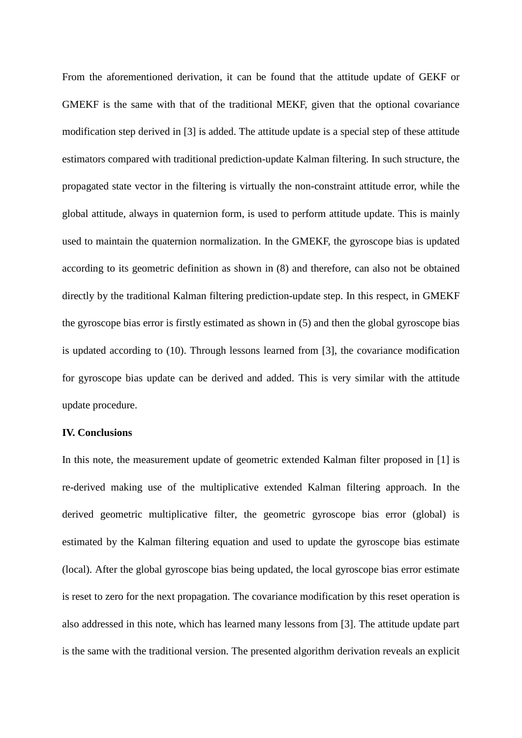From the aforementioned derivation, it can be found that the attitude update of GEKF or GMEKF is the same with that of the traditional MEKF, given that the optional covariance modification step derived in [3] is added. The attitude update is a special step of these attitude estimators compared with traditional prediction-update Kalman filtering. In such structure, the propagated state vector in the filtering is virtually the non-constraint attitude error, while the global attitude, always in quaternion form, is used to perform attitude update. This is mainly used to maintain the quaternion normalization. In the GMEKF, the gyroscope bias is updated according to its geometric definition as shown in (8) and therefore, can also not be obtained directly by the traditional Kalman filtering prediction-update step. In this respect, in GMEKF the gyroscope bias error is firstly estimated as shown in (5) and then the global gyroscope bias is updated according to (10). Through lessons learned from [3], the covariance modification for gyroscope bias update can be derived and added. This is very similar with the attitude update procedure.

# **IV. Conclusions**

In this note, the measurement update of geometric extended Kalman filter proposed in [1] is re-derived making use of the multiplicative extended Kalman filtering approach. In the derived geometric multiplicative filter, the geometric gyroscope bias error (global) is estimated by the Kalman filtering equation and used to update the gyroscope bias estimate (local). After the global gyroscope bias being updated, the local gyroscope bias error estimate is reset to zero for the next propagation. The covariance modification by this reset operation is also addressed in this note, which has learned many lessons from [3]. The attitude update part is the same with the traditional version. The presented algorithm derivation reveals an explicit